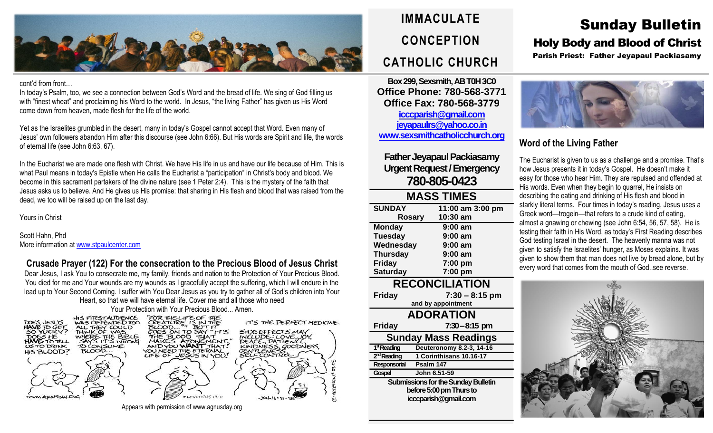

#### cont'd from front…

In today's Psalm, too, we see a connection between God's Word and the bread of life. We sing of God filling us with "finest wheat" and proclaiming his Word to the world. In Jesus, "the living Father" has given us His Word come down from heaven, made flesh for the life of the world.

Yet as the Israelites grumbled in the desert, many in today's Gospel cannot accept that Word. Even many of Jesus' own followers abandon Him after this discourse (see John 6:66). But His words are Spirit and life, the words of eternal life (see John 6:63, 67).

In the Eucharist we are made one flesh with Christ. We have His life in us and have our life because of Him. This is what Paul means in today's Epistle when He calls the Eucharist a "participation" in Christ's body and blood. We become in this sacrament partakers of the divine nature (see 1 Peter 2:4). This is the mystery of the faith that Jesus asks us to believe. And He gives us His promise: that sharing in His flesh and blood that was raised from the dead, we too will be raised up on the last day.

Yours in Christ

Scott Hahn, Phd More information at [www.stpaulcenter.com](http://www.stpaulcenter.com/)

## **Crusade Prayer (122) For the consecration to the Precious Blood of Jesus Christ**

Dear Jesus, I ask You to consecrate me, my family, friends and nation to the Protection of Your Precious Blood. You died for me and Your wounds are my wounds as I gracefully accept the suffering, which I will endure in the lead up to Your Second Coming. I suffer with You Dear Jesus as you try to gather all of God's children into Your

Heart, so that we will have eternal life. Cover me and all those who need Your Protection with Your Precious Blood... Amen.



Appears with permission of www.agnusday.org

## **IMMACULATE CONCEPTION CATHOLIC CHURCH**

**Box 299, Sexsmith, AB T0H 3C0 Office Phone: 780-568-3771 Office Fax: 780-568-3779 [icccparish@gmail.com](mailto:icccparish@gmail.com) [jeyapaulrs@yahoo.co.in](mailto:jeyapaulrs@yahoo.co.in) [www.sexsmithcatholicchurch.org](http://www.sexsmithcatholicchurch.org/)**

## **Father Jeyapaul Packiasamy Urgent Request/Emergency 780-805-0423**

| <b>MASS TIMES</b> |                  |  |  |  |
|-------------------|------------------|--|--|--|
| <b>SUNDAY</b>     | 11:00 am 3:00 pm |  |  |  |
| <b>Rosary</b>     | 10:30 am         |  |  |  |
| <b>Monday</b>     | $9:00$ am        |  |  |  |
| <b>Tuesday</b>    | $9:00$ am        |  |  |  |
| Wednesday         | $9:00$ am        |  |  |  |
| <b>Thursday</b>   | $9:00$ am        |  |  |  |
| <b>Friday</b>     | 7:00 pm          |  |  |  |
| <b>Saturday</b>   | 7:00 pm          |  |  |  |

**RECONCILIATION**

| <b>Friday</b>                              | $7:30 - 8:15$ pm         |  |  |
|--------------------------------------------|--------------------------|--|--|
|                                            | and by appointment       |  |  |
| <b>ADORATION</b>                           |                          |  |  |
| <b>Friday</b>                              | $7:30 - 8:15$ pm         |  |  |
| <b>Sunday Mass Readings</b>                |                          |  |  |
| 1 <sup>st</sup> Reading                    | Deuteronomy 8.2-3, 14-16 |  |  |
| 2 <sup>nd</sup> Reading                    | 1 Corinthisans 10.16-17  |  |  |
| Responsorial                               | Psalm 147                |  |  |
| Gospel                                     | John 6.51-59             |  |  |
| <b>Submissions for the Sunday Bulletin</b> |                          |  |  |

**before 5:00 pm Thursto icccparish@gmail.com**

# Sunday Bulletin

## Holy Body and Blood of Christ

Parish Priest: Father Jeyapaul Packiasamy



## **Word of the Living Father**

The Eucharist is given to us as a challenge and a promise. That's how Jesus presents it in today's Gospel. He doesn't make it easy for those who hear Him. They are repulsed and offended at His words. Even when they begin to quarrel, He insists on describing the eating and drinking of His flesh and blood in starkly literal terms. Four times in today's reading, Jesus uses a Greek word—trogein—that refers to a crude kind of eating, almost a gnawing or chewing (see John 6:54, 56, 57, 58). He is testing their faith in His Word, as today's First Reading describes God testing Israel in the desert. The heavenly manna was not given to satisfy the Israelites' hunger, as Moses explains. It was given to show them that man does not live by bread alone, but by every word that comes from the mouth of God..see reverse.